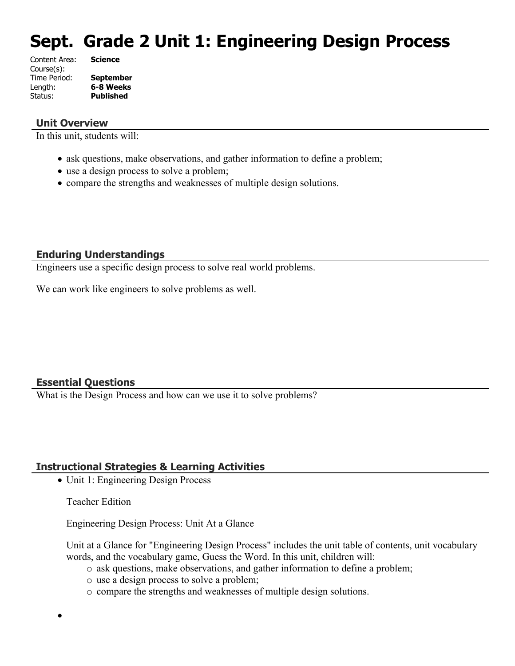# **Sept. Grade 2 Unit 1: Engineering Design Process**

| Content Area: | <b>Science</b>   |
|---------------|------------------|
| Course(s):    |                  |
| Time Period:  | <b>September</b> |
| Length:       | 6-8 Weeks        |
| Status:       | <b>Published</b> |
|               |                  |

#### **Unit Overview**

In this unit, students will:

- ask questions, make observations, and gather information to define a problem;
- use a design process to solve a problem;
- compare the strengths and weaknesses of multiple design solutions.

#### **Enduring Understandings**

Engineers use a specific design process to solve real world problems.

We can work like engineers to solve problems as well.

#### **Essential Questions**

What is the Design Process and how can we use it to solve problems?

#### **Instructional Strategies & Learning Activities**

• Unit 1: Engineering Design Process

Teacher Edition

 $\bullet$ 

Engineering Design Process: Unit At a Glance

Unit at a Glance for "Engineering Design Process" includes the unit table of contents, unit vocabulary words, and the vocabulary game, Guess the Word. In this unit, children will:

- o ask questions, make observations, and gather information to define a problem;
- o use a design process to solve a problem;
- o compare the strengths and weaknesses of multiple design solutions.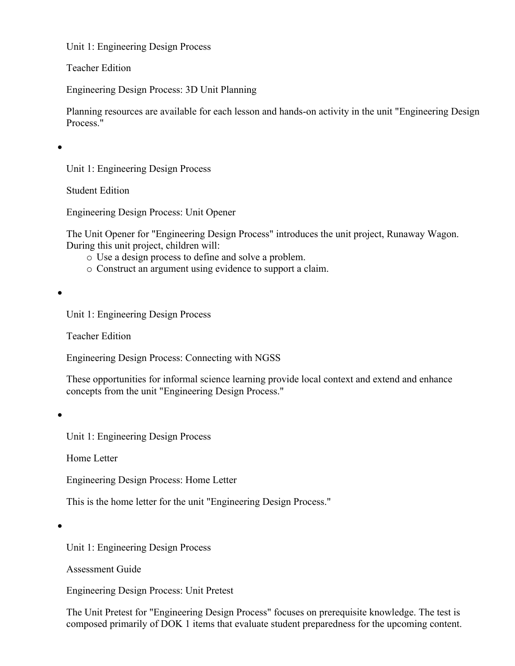Teacher Edition

Engineering Design Process: 3D Unit Planning

Planning resources are available for each lesson and hands-on activity in the unit "Engineering Design Process."

 $\bullet$ 

Unit 1: Engineering Design Process

Student Edition

Engineering Design Process: Unit Opener

The Unit Opener for "Engineering Design Process" introduces the unit project, Runaway Wagon. During this unit project, children will:

- o Use a design process to define and solve a problem.
- o Construct an argument using evidence to support a claim.

 $\bullet$ 

Unit 1: Engineering Design Process

Teacher Edition

Engineering Design Process: Connecting with NGSS

These opportunities for informal science learning provide local context and extend and enhance concepts from the unit "Engineering Design Process."

 $\bullet$ 

Unit 1: Engineering Design Process

Home Letter

Engineering Design Process: Home Letter

This is the home letter for the unit "Engineering Design Process."

 $\bullet$ 

Unit 1: Engineering Design Process

Assessment Guide

Engineering Design Process: Unit Pretest

The Unit Pretest for "Engineering Design Process" focuses on prerequisite knowledge. The test is composed primarily of DOK 1 items that evaluate student preparedness for the upcoming content.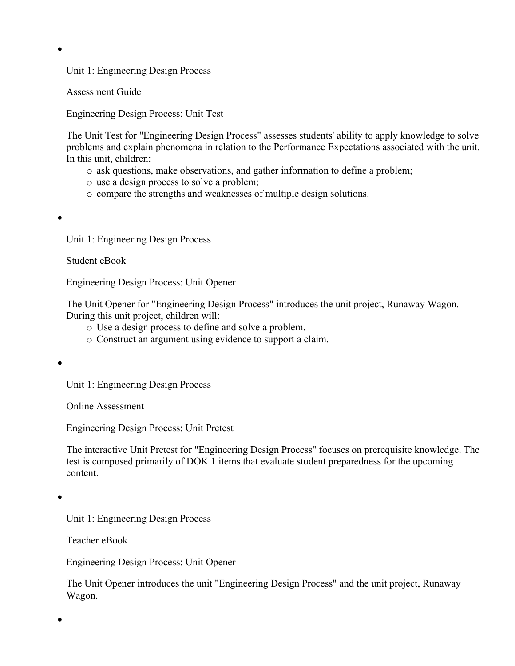Assessment Guide

Engineering Design Process: Unit Test

The Unit Test for "Engineering Design Process" assesses students' ability to apply knowledge to solve problems and explain phenomena in relation to the Performance Expectations associated with the unit. In this unit, children:

- o ask questions, make observations, and gather information to define a problem;
- o use a design process to solve a problem;
- o compare the strengths and weaknesses of multiple design solutions.

 $\bullet$ 

 $\bullet$ 

Unit 1: Engineering Design Process

Student eBook

Engineering Design Process: Unit Opener

The Unit Opener for "Engineering Design Process" introduces the unit project, Runaway Wagon. During this unit project, children will:

- o Use a design process to define and solve a problem.
- o Construct an argument using evidence to support a claim.

 $\bullet$ 

Unit 1: Engineering Design Process

Online Assessment

Engineering Design Process: Unit Pretest

The interactive Unit Pretest for "Engineering Design Process" focuses on prerequisite knowledge. The test is composed primarily of DOK 1 items that evaluate student preparedness for the upcoming content.

 $\bullet$ 

 $\bullet$ 

Unit 1: Engineering Design Process

Teacher eBook

Engineering Design Process: Unit Opener

The Unit Opener introduces the unit "Engineering Design Process" and the unit project, Runaway Wagon.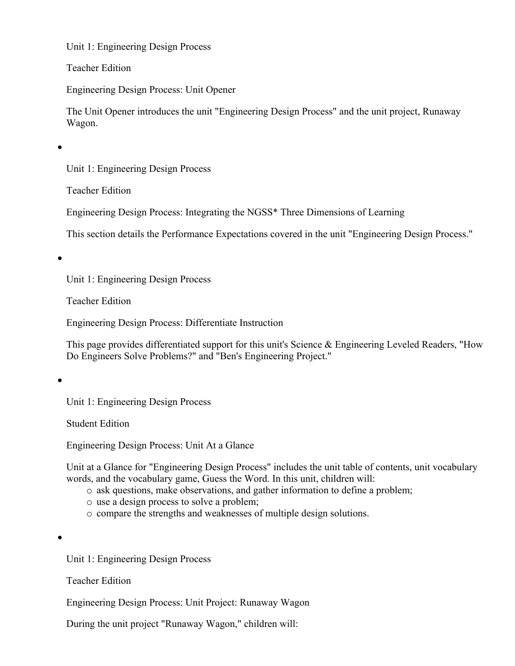Teacher Edition

Engineering Design Process: Unit Opener

The Unit Opener introduces the unit "Engineering Design Process" and the unit project, Runaway Wagon.

 $\bullet$ 

Unit 1: Engineering Design Process

Teacher Edition

Engineering Design Process: Integrating the NGSS\* Three Dimensions of Learning

This section details the Performance Expectations covered in the unit "Engineering Design Process."

 $\bullet$ 

Unit 1: Engineering Design Process

Teacher Edition

Engineering Design Process: Differentiate Instruction

This page provides differentiated support for this unit's Science & Engineering Leveled Readers, "How Do Engineers Solve Problems?" and "Ben's Engineering Project."

 $\bullet$ 

Unit 1: Engineering Design Process

Student Edition

Engineering Design Process: Unit At a Glance

Unit at a Glance for "Engineering Design Process" includes the unit table of contents, unit vocabulary words, and the vocabulary game, Guess the Word. In this unit, children will:

- o ask questions, make observations, and gather information to define a problem;
- o use a design process to solve a problem;
- o compare the strengths and weaknesses of multiple design solutions.

 $\bullet$ 

Unit 1: Engineering Design Process

Teacher Edition

Engineering Design Process: Unit Project: Runaway Wagon

During the unit project "Runaway Wagon," children will: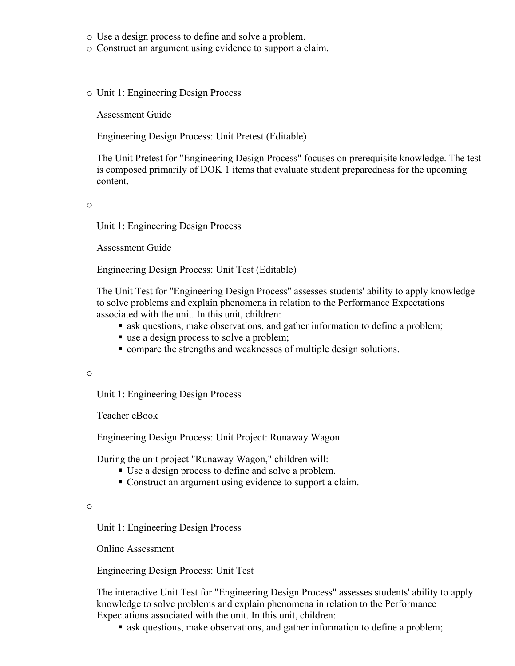- o Use a design process to define and solve a problem.
- o Construct an argument using evidence to support a claim.
- o Unit 1: Engineering Design Process

Assessment Guide

Engineering Design Process: Unit Pretest (Editable)

The Unit Pretest for "Engineering Design Process" focuses on prerequisite knowledge. The test is composed primarily of DOK 1 items that evaluate student preparedness for the upcoming content.

o

Unit 1: Engineering Design Process

Assessment Guide

Engineering Design Process: Unit Test (Editable)

The Unit Test for "Engineering Design Process" assesses students' ability to apply knowledge to solve problems and explain phenomena in relation to the Performance Expectations associated with the unit. In this unit, children:

- ask questions, make observations, and gather information to define a problem;
- use a design process to solve a problem;
- compare the strengths and weaknesses of multiple design solutions.

o

Unit 1: Engineering Design Process

Teacher eBook

Engineering Design Process: Unit Project: Runaway Wagon

During the unit project "Runaway Wagon," children will:

- Use a design process to define and solve a problem.
- Construct an argument using evidence to support a claim.

o

Unit 1: Engineering Design Process

Online Assessment

Engineering Design Process: Unit Test

The interactive Unit Test for "Engineering Design Process" assesses students' ability to apply knowledge to solve problems and explain phenomena in relation to the Performance Expectations associated with the unit. In this unit, children:

ask questions, make observations, and gather information to define a problem;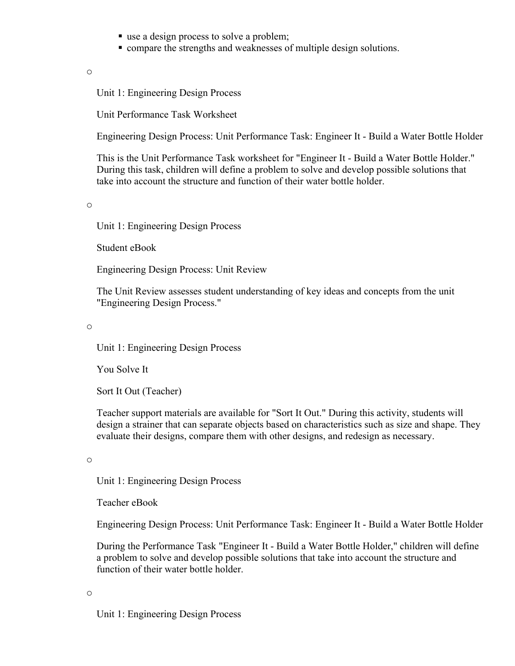- use a design process to solve a problem;
- compare the strengths and weaknesses of multiple design solutions.

o

Unit 1: Engineering Design Process

Unit Performance Task Worksheet

Engineering Design Process: Unit Performance Task: Engineer It - Build a Water Bottle Holder

This is the Unit Performance Task worksheet for "Engineer It - Build a Water Bottle Holder." During this task, children will define a problem to solve and develop possible solutions that take into account the structure and function of their water bottle holder.

o

Unit 1: Engineering Design Process

Student eBook

Engineering Design Process: Unit Review

The Unit Review assesses student understanding of key ideas and concepts from the unit "Engineering Design Process."

o

Unit 1: Engineering Design Process

You Solve It

Sort It Out (Teacher)

Teacher support materials are available for "Sort It Out." During this activity, students will design a strainer that can separate objects based on characteristics such as size and shape. They evaluate their designs, compare them with other designs, and redesign as necessary.

o

Unit 1: Engineering Design Process

Teacher eBook

Engineering Design Process: Unit Performance Task: Engineer It - Build a Water Bottle Holder

During the Performance Task "Engineer It - Build a Water Bottle Holder," children will define a problem to solve and develop possible solutions that take into account the structure and function of their water bottle holder.

o

Unit 1: Engineering Design Process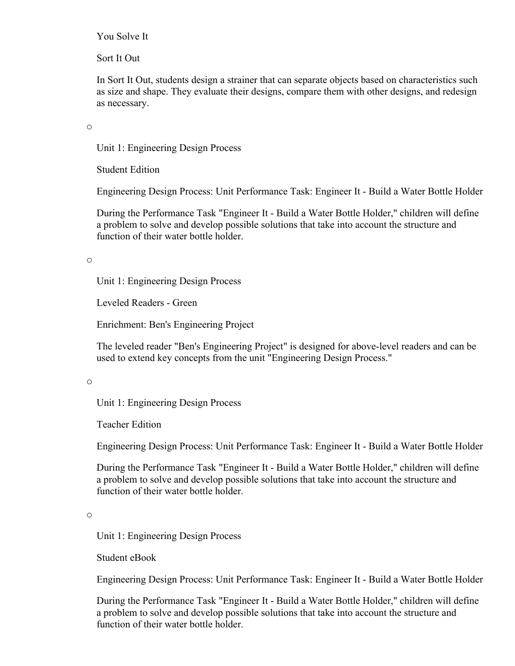#### You Solve It

Sort It Out

In Sort It Out, students design a strainer that can separate objects based on characteristics such as size and shape. They evaluate their designs, compare them with other designs, and redesign as necessary.

o

Unit 1: Engineering Design Process

Student Edition

Engineering Design Process: Unit Performance Task: Engineer It - Build a Water Bottle Holder

During the Performance Task "Engineer It - Build a Water Bottle Holder," children will define a problem to solve and develop possible solutions that take into account the structure and function of their water bottle holder.

o

Unit 1: Engineering Design Process

Leveled Readers - Green

Enrichment: Ben's Engineering Project

The leveled reader "Ben's Engineering Project" is designed for above-level readers and can be used to extend key concepts from the unit "Engineering Design Process."

o

Unit 1: Engineering Design Process

Teacher Edition

Engineering Design Process: Unit Performance Task: Engineer It - Build a Water Bottle Holder

During the Performance Task "Engineer It - Build a Water Bottle Holder," children will define a problem to solve and develop possible solutions that take into account the structure and function of their water bottle holder.

o

Unit 1: Engineering Design Process

Student eBook

Engineering Design Process: Unit Performance Task: Engineer It - Build a Water Bottle Holder

During the Performance Task "Engineer It - Build a Water Bottle Holder," children will define a problem to solve and develop possible solutions that take into account the structure and function of their water bottle holder.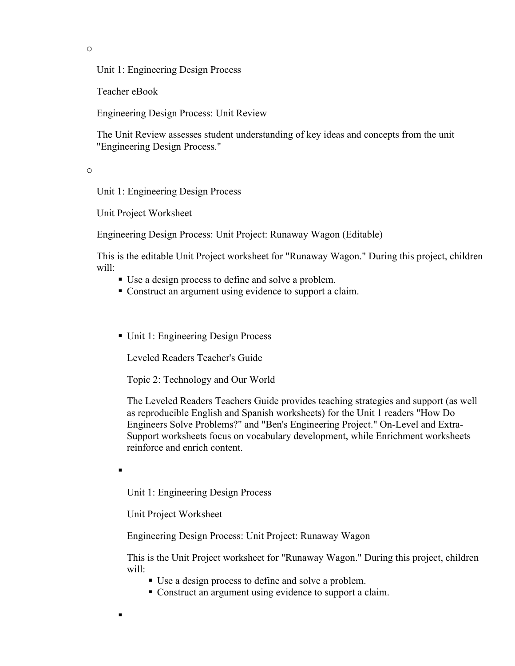o

Unit 1: Engineering Design Process

Teacher eBook

Engineering Design Process: Unit Review

The Unit Review assesses student understanding of key ideas and concepts from the unit "Engineering Design Process."

o

Unit 1: Engineering Design Process

Unit Project Worksheet

Engineering Design Process: Unit Project: Runaway Wagon (Editable)

This is the editable Unit Project worksheet for "Runaway Wagon." During this project, children will:

- Use a design process to define and solve a problem.
- Construct an argument using evidence to support a claim.
- Unit 1: Engineering Design Process

Leveled Readers Teacher's Guide

Topic 2: Technology and Our World

The Leveled Readers Teachers Guide provides teaching strategies and support (as well as reproducible English and Spanish worksheets) for the Unit 1 readers "How Do Engineers Solve Problems?" and "Ben's Engineering Project." On-Level and Extra-Support worksheets focus on vocabulary development, while Enrichment worksheets reinforce and enrich content.

.

 $\blacksquare$ 

Unit 1: Engineering Design Process

Unit Project Worksheet

Engineering Design Process: Unit Project: Runaway Wagon

This is the Unit Project worksheet for "Runaway Wagon." During this project, children will:

- Use a design process to define and solve a problem.
- Construct an argument using evidence to support a claim.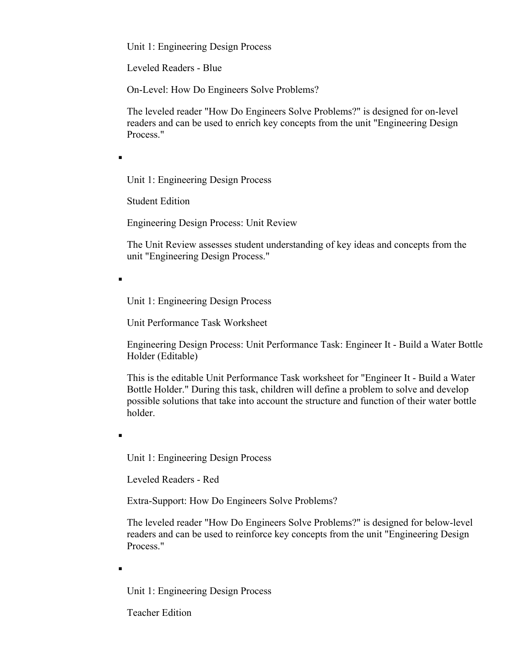Leveled Readers - Blue

On-Level: How Do Engineers Solve Problems?

The leveled reader "How Do Engineers Solve Problems?" is designed for on-level readers and can be used to enrich key concepts from the unit "Engineering Design Process."

.

.

Unit 1: Engineering Design Process

Student Edition

Engineering Design Process: Unit Review

The Unit Review assesses student understanding of key ideas and concepts from the unit "Engineering Design Process."

Unit 1: Engineering Design Process

Unit Performance Task Worksheet

Engineering Design Process: Unit Performance Task: Engineer It - Build a Water Bottle Holder (Editable)

This is the editable Unit Performance Task worksheet for "Engineer It - Build a Water Bottle Holder." During this task, children will define a problem to solve and develop possible solutions that take into account the structure and function of their water bottle holder.

Unit 1: Engineering Design Process

Leveled Readers - Red

Extra-Support: How Do Engineers Solve Problems?

The leveled reader "How Do Engineers Solve Problems?" is designed for below-level readers and can be used to reinforce key concepts from the unit "Engineering Design Process."

.

.

Unit 1: Engineering Design Process

Teacher Edition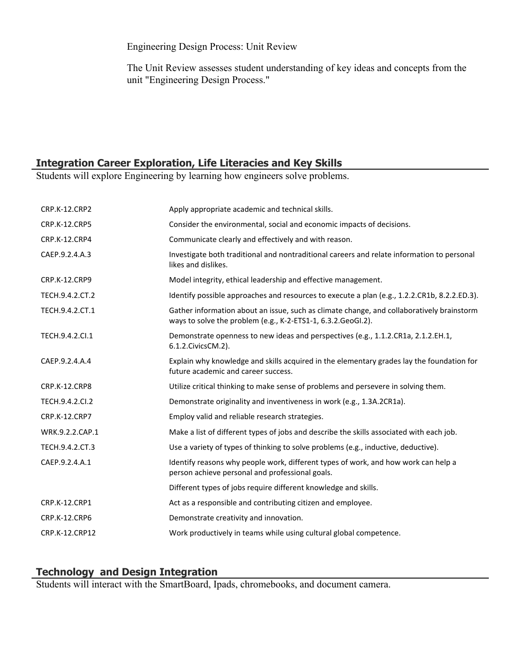Engineering Design Process: Unit Review

The Unit Review assesses student understanding of key ideas and concepts from the unit "Engineering Design Process."

# **Integration Career Exploration, Life Literacies and Key Skills**

Students will explore Engineering by learning how engineers solve problems.

| <b>CRP.K-12.CRP2</b> | Apply appropriate academic and technical skills.                                                                                                          |
|----------------------|-----------------------------------------------------------------------------------------------------------------------------------------------------------|
| CRP.K-12.CRP5        | Consider the environmental, social and economic impacts of decisions.                                                                                     |
| CRP.K-12.CRP4        | Communicate clearly and effectively and with reason.                                                                                                      |
| CAEP.9.2.4.A.3       | Investigate both traditional and nontraditional careers and relate information to personal<br>likes and dislikes.                                         |
| <b>CRP.K-12.CRP9</b> | Model integrity, ethical leadership and effective management.                                                                                             |
| TECH.9.4.2.CT.2      | Identify possible approaches and resources to execute a plan (e.g., 1.2.2.CR1b, 8.2.2.ED.3).                                                              |
| TECH.9.4.2.CT.1      | Gather information about an issue, such as climate change, and collaboratively brainstorm<br>ways to solve the problem (e.g., K-2-ETS1-1, 6.3.2.GeoGI.2). |
| TECH.9.4.2.Cl.1      | Demonstrate openness to new ideas and perspectives (e.g., 1.1.2.CR1a, 2.1.2.EH.1,<br>6.1.2. Civics CM. 2).                                                |
| CAEP.9.2.4.A.4       | Explain why knowledge and skills acquired in the elementary grades lay the foundation for<br>future academic and career success.                          |
| CRP.K-12.CRP8        | Utilize critical thinking to make sense of problems and persevere in solving them.                                                                        |
| TECH.9.4.2.CI.2      | Demonstrate originality and inventiveness in work (e.g., 1.3A.2CR1a).                                                                                     |
| CRP.K-12.CRP7        | Employ valid and reliable research strategies.                                                                                                            |
| WRK.9.2.2.CAP.1      | Make a list of different types of jobs and describe the skills associated with each job.                                                                  |
| TECH.9.4.2.CT.3      | Use a variety of types of thinking to solve problems (e.g., inductive, deductive).                                                                        |
| CAEP.9.2.4.A.1       | Identify reasons why people work, different types of work, and how work can help a<br>person achieve personal and professional goals.                     |
|                      | Different types of jobs require different knowledge and skills.                                                                                           |
| <b>CRP.K-12.CRP1</b> | Act as a responsible and contributing citizen and employee.                                                                                               |
| CRP.K-12.CRP6        | Demonstrate creativity and innovation.                                                                                                                    |
| CRP.K-12.CRP12       | Work productively in teams while using cultural global competence.                                                                                        |

## **Technology and Design Integration**

Students will interact with the SmartBoard, Ipads, chromebooks, and document camera.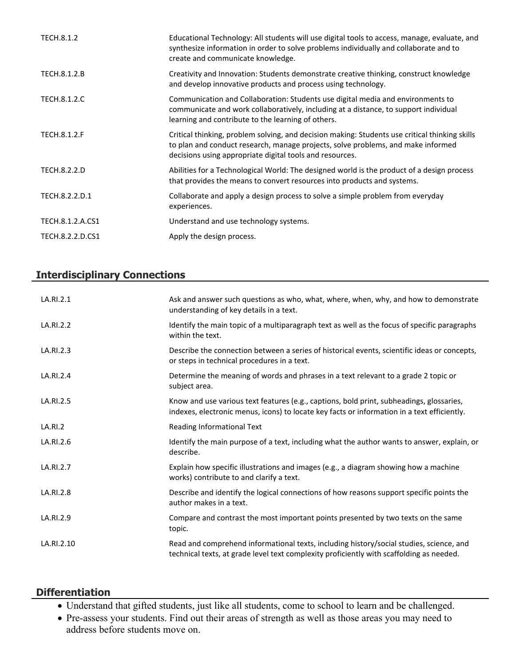| TECH.8.1.2          | Educational Technology: All students will use digital tools to access, manage, evaluate, and<br>synthesize information in order to solve problems individually and collaborate and to<br>create and communicate knowledge.                     |
|---------------------|------------------------------------------------------------------------------------------------------------------------------------------------------------------------------------------------------------------------------------------------|
| TECH.8.1.2.B        | Creativity and Innovation: Students demonstrate creative thinking, construct knowledge<br>and develop innovative products and process using technology.                                                                                        |
| TECH.8.1.2.C        | Communication and Collaboration: Students use digital media and environments to<br>communicate and work collaboratively, including at a distance, to support individual<br>learning and contribute to the learning of others.                  |
| <b>TECH.8.1.2.F</b> | Critical thinking, problem solving, and decision making: Students use critical thinking skills<br>to plan and conduct research, manage projects, solve problems, and make informed<br>decisions using appropriate digital tools and resources. |
| <b>TECH.8.2.2.D</b> | Abilities for a Technological World: The designed world is the product of a design process<br>that provides the means to convert resources into products and systems.                                                                          |
| TECH.8.2.2.D.1      | Collaborate and apply a design process to solve a simple problem from everyday<br>experiences.                                                                                                                                                 |
| TECH.8.1.2.A.CS1    | Understand and use technology systems.                                                                                                                                                                                                         |
| TECH.8.2.2.D.CS1    | Apply the design process.                                                                                                                                                                                                                      |

# **Interdisciplinary Connections**

| LA.RI.2.1  | Ask and answer such questions as who, what, where, when, why, and how to demonstrate<br>understanding of key details in a text.                                                         |
|------------|-----------------------------------------------------------------------------------------------------------------------------------------------------------------------------------------|
| LA.RI.2.2  | Identify the main topic of a multiparagraph text as well as the focus of specific paragraphs<br>within the text.                                                                        |
| LA.RI.2.3  | Describe the connection between a series of historical events, scientific ideas or concepts,<br>or steps in technical procedures in a text.                                             |
| LA.RI.2.4  | Determine the meaning of words and phrases in a text relevant to a grade 2 topic or<br>subject area.                                                                                    |
| LA.RI.2.5  | Know and use various text features (e.g., captions, bold print, subheadings, glossaries,<br>indexes, electronic menus, icons) to locate key facts or information in a text efficiently. |
| LA.RI.2    | Reading Informational Text                                                                                                                                                              |
| LA.RI.2.6  | Identify the main purpose of a text, including what the author wants to answer, explain, or<br>describe.                                                                                |
| LA.RI.2.7  | Explain how specific illustrations and images (e.g., a diagram showing how a machine<br>works) contribute to and clarify a text.                                                        |
| LA.RI.2.8  | Describe and identify the logical connections of how reasons support specific points the<br>author makes in a text.                                                                     |
| LA.RI.2.9  | Compare and contrast the most important points presented by two texts on the same<br>topic.                                                                                             |
| LA.RI.2.10 | Read and comprehend informational texts, including history/social studies, science, and<br>technical texts, at grade level text complexity proficiently with scaffolding as needed.     |

#### **Differentiation**

- Understand that gifted students, just like all students, come to school to learn and be challenged.
- Pre-assess your students. Find out their areas of strength as well as those areas you may need to address before students move on.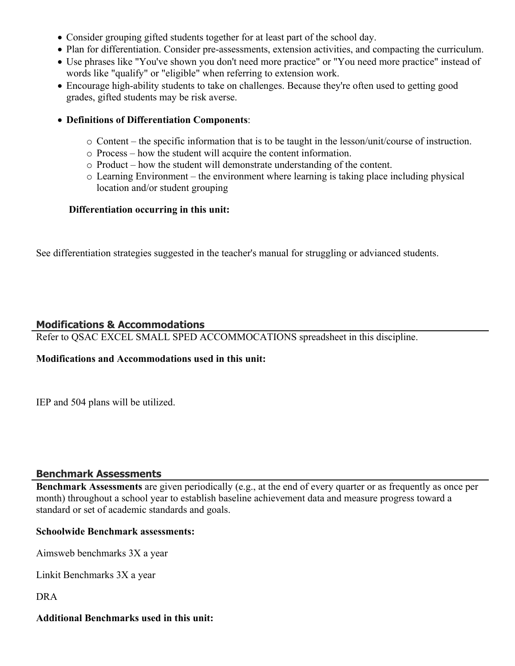- Consider grouping gifted students together for at least part of the school day.
- Plan for differentiation. Consider pre-assessments, extension activities, and compacting the curriculum.
- Use phrases like "You've shown you don't need more practice" or "You need more practice" instead of words like "qualify" or "eligible" when referring to extension work.
- Encourage high-ability students to take on challenges. Because they're often used to getting good grades, gifted students may be risk averse.
- **Definitions of Differentiation Components**:
	- $\circ$  Content the specific information that is to be taught in the lesson/unit/course of instruction.
	- o Process how the student will acquire the content information.
	- o Product how the student will demonstrate understanding of the content.
	- o Learning Environment the environment where learning is taking place including physical location and/or student grouping

#### **Differentiation occurring in this unit:**

See differentiation strategies suggested in the teacher's manual for struggling or advianced students.

#### **Modifications & Accommodations**

Refer to QSAC EXCEL SMALL SPED ACCOMMOCATIONS spreadsheet in this discipline.

#### **Modifications and Accommodations used in this unit:**

IEP and 504 plans will be utilized.

#### **Benchmark Assessments**

**Benchmark Assessments** are given periodically (e.g., at the end of every quarter or as frequently as once per month) throughout a school year to establish baseline achievement data and measure progress toward a standard or set of academic standards and goals.

#### **Schoolwide Benchmark assessments:**

Aimsweb benchmarks 3X a year

Linkit Benchmarks 3X a year

DRA

#### **Additional Benchmarks used in this unit:**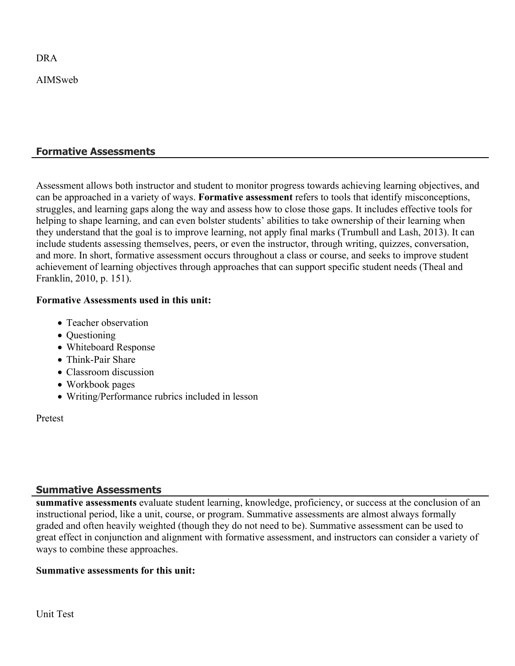DRA

AIMSweb

## **Formative Assessments**

Assessment allows both instructor and student to monitor progress towards achieving learning objectives, and can be approached in a variety of ways. **Formative assessment** refers to tools that identify misconceptions, struggles, and learning gaps along the way and assess how to close those gaps. It includes effective tools for helping to shape learning, and can even bolster students' abilities to take ownership of their learning when they understand that the goal is to improve learning, not apply final marks (Trumbull and Lash, 2013). It can include students assessing themselves, peers, or even the instructor, through writing, quizzes, conversation, and more. In short, formative assessment occurs throughout a class or course, and seeks to improve student achievement of learning objectives through approaches that can support specific student needs (Theal and Franklin, 2010, p. 151).

#### **Formative Assessments used in this unit:**

- Teacher observation
- Questioning
- Whiteboard Response
- Think-Pair Share
- Classroom discussion
- Workbook pages
- Writing/Performance rubrics included in lesson

Pretest

#### **Summative Assessments**

**summative assessments** evaluate student learning, knowledge, proficiency, or success at the conclusion of an instructional period, like a unit, course, or program. Summative assessments are almost always formally graded and often heavily weighted (though they do not need to be). Summative assessment can be used to great effect in conjunction and alignment with formative assessment, and instructors can consider a variety of ways to combine these approaches.

#### **Summative assessments for this unit:**